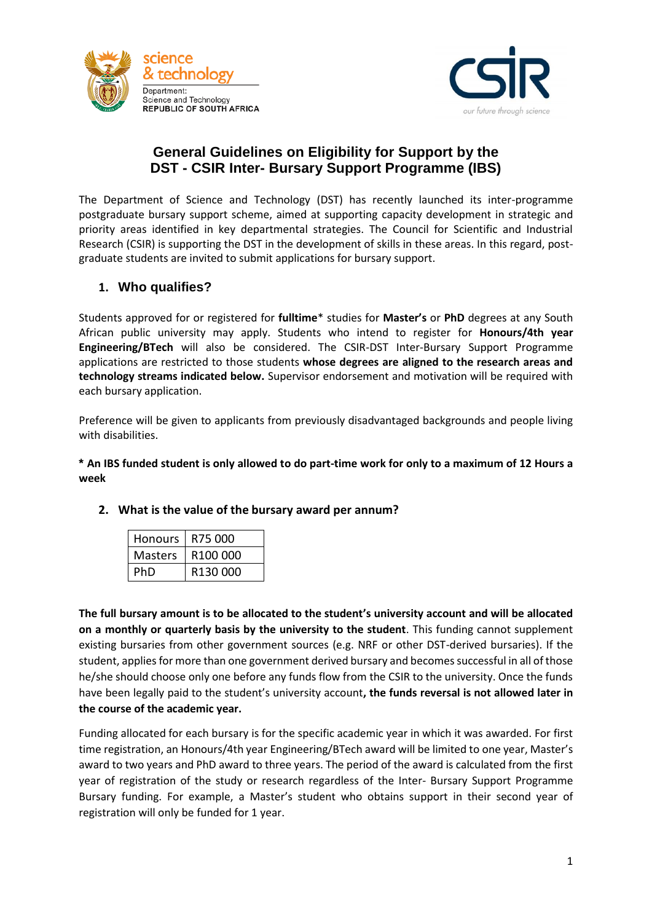



# **General Guidelines on Eligibility for Support by the DST - CSIR Inter- Bursary Support Programme (IBS)**

The Department of Science and Technology (DST) has recently launched its inter-programme postgraduate bursary support scheme, aimed at supporting capacity development in strategic and priority areas identified in key departmental strategies. The Council for Scientific and Industrial Research (CSIR) is supporting the DST in the development of skills in these areas. In this regard, postgraduate students are invited to submit applications for bursary support.

# **1. Who qualifies?**

Students approved for or registered for **fulltime**\* studies for **Master's** or **PhD** degrees at any South African public university may apply. Students who intend to register for **Honours/4th year Engineering/BTech** will also be considered. The CSIR-DST Inter-Bursary Support Programme applications are restricted to those students **whose degrees are aligned to the research areas and technology streams indicated below.** Supervisor endorsement and motivation will be required with each bursary application.

Preference will be given to applicants from previously disadvantaged backgrounds and people living with disabilities.

**\* An IBS funded student is only allowed to do part-time work for only to a maximum of 12 Hours a week**

| <b>Honours</b> | R75 000  |
|----------------|----------|
| Masters        | R100.000 |
|                | R130.000 |

#### **2. What is the value of the bursary award per annum?**

**The full bursary amount is to be allocated to the student's university account and will be allocated on a monthly or quarterly basis by the university to the student**. This funding cannot supplement existing bursaries from other government sources (e.g. NRF or other DST-derived bursaries). If the student, applies for more than one government derived bursary and becomes successful in all of those he/she should choose only one before any funds flow from the CSIR to the university. Once the funds have been legally paid to the student's university account**, the funds reversal is not allowed later in the course of the academic year.** 

Funding allocated for each bursary is for the specific academic year in which it was awarded. For first time registration, an Honours/4th year Engineering/BTech award will be limited to one year, Master's award to two years and PhD award to three years. The period of the award is calculated from the first year of registration of the study or research regardless of the Inter- Bursary Support Programme Bursary funding. For example, a Master's student who obtains support in their second year of registration will only be funded for 1 year.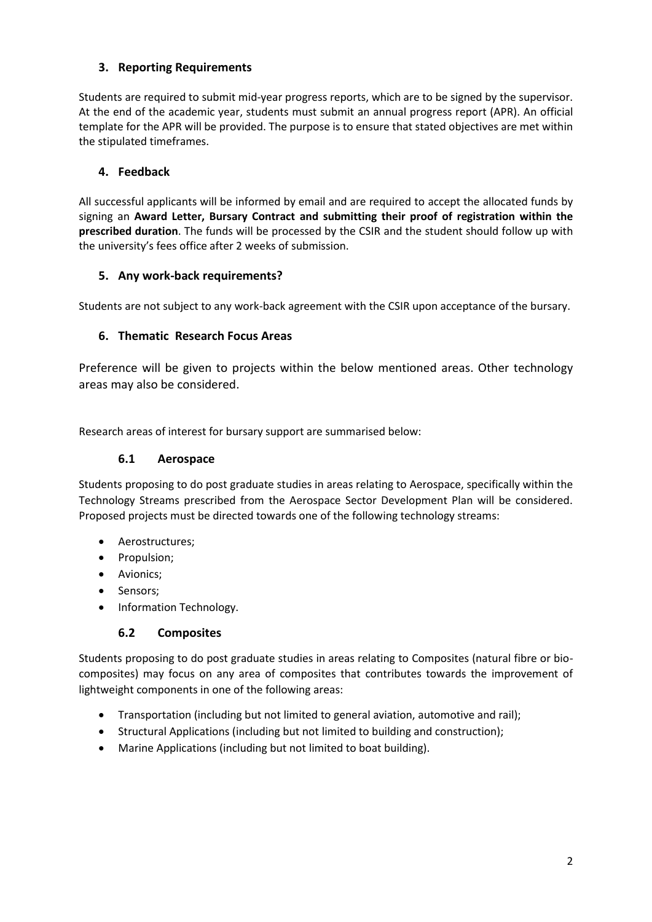## **3. Reporting Requirements**

Students are required to submit mid-year progress reports, which are to be signed by the supervisor. At the end of the academic year, students must submit an annual progress report (APR). An official template for the APR will be provided. The purpose is to ensure that stated objectives are met within the stipulated timeframes.

## **4. Feedback**

All successful applicants will be informed by email and are required to accept the allocated funds by signing an **Award Letter, Bursary Contract and submitting their proof of registration within the prescribed duration**. The funds will be processed by the CSIR and the student should follow up with the university's fees office after 2 weeks of submission.

### **5. Any work-back requirements?**

Students are not subject to any work-back agreement with the CSIR upon acceptance of the bursary.

# **6. Thematic Research Focus Areas**

Preference will be given to projects within the below mentioned areas. Other technology areas may also be considered.

Research areas of interest for bursary support are summarised below:

## **6.1 Aerospace**

Students proposing to do post graduate studies in areas relating to Aerospace, specifically within the Technology Streams prescribed from the Aerospace Sector Development Plan will be considered. Proposed projects must be directed towards one of the following technology streams:

- Aerostructures;
- Propulsion;
- Avionics;
- Sensors;
- Information Technology.

### **6.2 Composites**

Students proposing to do post graduate studies in areas relating to Composites (natural fibre or biocomposites) may focus on any area of composites that contributes towards the improvement of lightweight components in one of the following areas:

- Transportation (including but not limited to general aviation, automotive and rail);
- Structural Applications (including but not limited to building and construction);
- Marine Applications (including but not limited to boat building).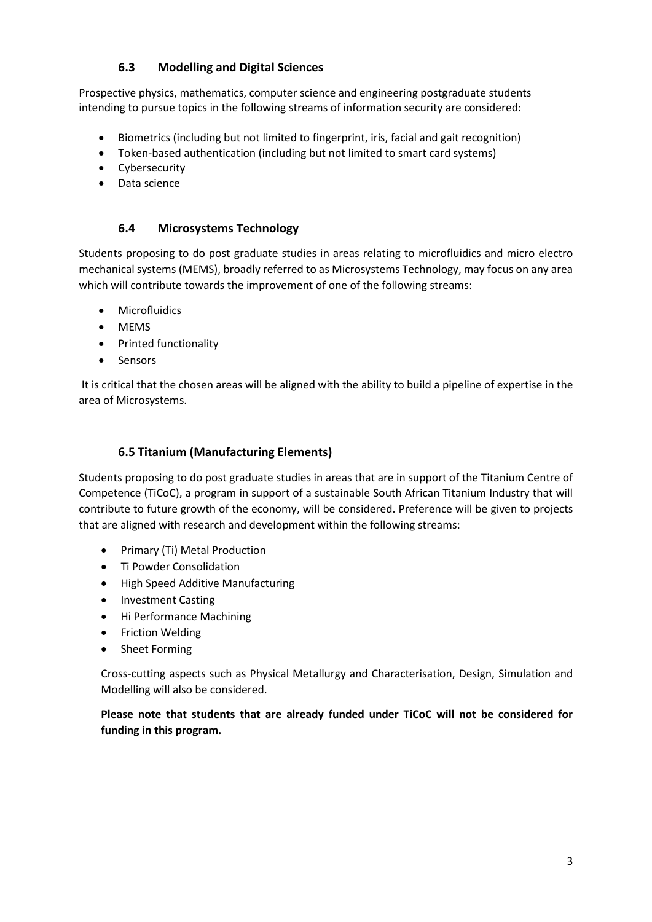## **6.3 Modelling and Digital Sciences**

Prospective physics, mathematics, computer science and engineering postgraduate students intending to pursue topics in the following streams of information security are considered:

- Biometrics (including but not limited to fingerprint, iris, facial and gait recognition)
- Token-based authentication (including but not limited to smart card systems)
- Cybersecurity
- Data science

#### **6.4 Microsystems Technology**

Students proposing to do post graduate studies in areas relating to microfluidics and micro electro mechanical systems (MEMS), broadly referred to as Microsystems Technology, may focus on any area which will contribute towards the improvement of one of the following streams:

- Microfluidics
- MEMS
- Printed functionality
- Sensors

It is critical that the chosen areas will be aligned with the ability to build a pipeline of expertise in the area of Microsystems.

### **6.5 Titanium (Manufacturing Elements)**

Students proposing to do post graduate studies in areas that are in support of the Titanium Centre of Competence (TiCoC), a program in support of a sustainable South African Titanium Industry that will contribute to future growth of the economy, will be considered. Preference will be given to projects that are aligned with research and development within the following streams:

- Primary (Ti) Metal Production
- Ti Powder Consolidation
- High Speed Additive Manufacturing
- Investment Casting
- Hi Performance Machining
- Friction Welding
- Sheet Forming

Cross-cutting aspects such as Physical Metallurgy and Characterisation, Design, Simulation and Modelling will also be considered.

**Please note that students that are already funded under TiCoC will not be considered for funding in this program.**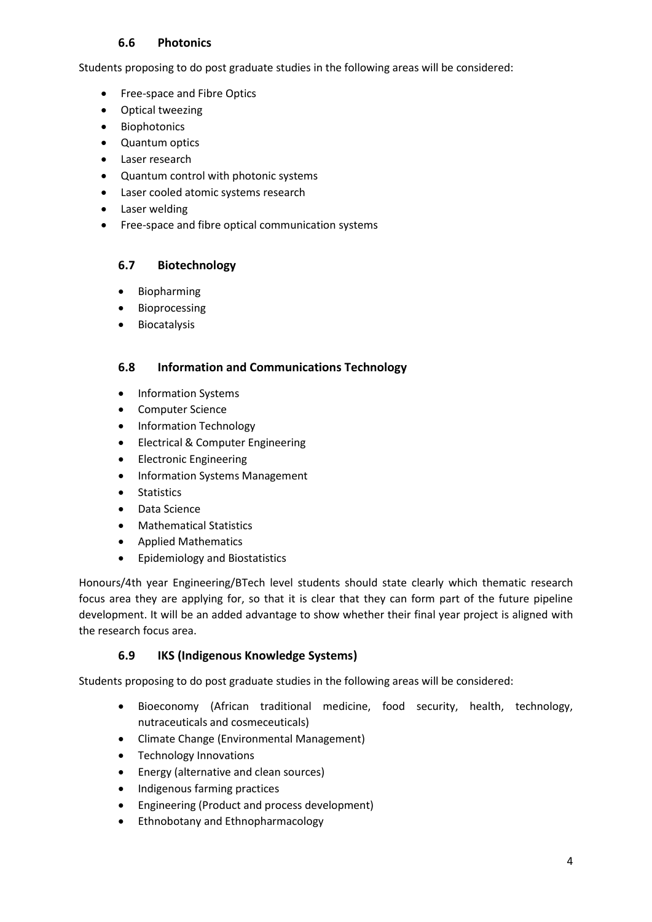#### **6.6 Photonics**

Students proposing to do post graduate studies in the following areas will be considered:

- Free-space and Fibre Optics
- Optical tweezing
- Biophotonics
- Quantum optics
- Laser research
- Quantum control with photonic systems
- Laser cooled atomic systems research
- Laser welding
- Free-space and fibre optical communication systems

### **6.7 Biotechnology**

- Biopharming
- Bioprocessing
- Biocatalysis

#### **6.8 Information and Communications Technology**

- Information Systems
- Computer Science
- Information Technology
- Electrical & Computer Engineering
- Electronic Engineering
- Information Systems Management
- **•** Statistics
- Data Science
- Mathematical Statistics
- Applied Mathematics
- **•** Epidemiology and Biostatistics

Honours/4th year Engineering/BTech level students should state clearly which thematic research focus area they are applying for, so that it is clear that they can form part of the future pipeline development. It will be an added advantage to show whether their final year project is aligned with the research focus area.

### **6.9 IKS (Indigenous Knowledge Systems)**

Students proposing to do post graduate studies in the following areas will be considered:

- Bioeconomy (African traditional medicine, food security, health, technology, nutraceuticals and cosmeceuticals)
- Climate Change (Environmental Management)
- Technology Innovations
- Energy (alternative and clean sources)
- Indigenous farming practices
- Engineering (Product and process development)
- Ethnobotany and Ethnopharmacology